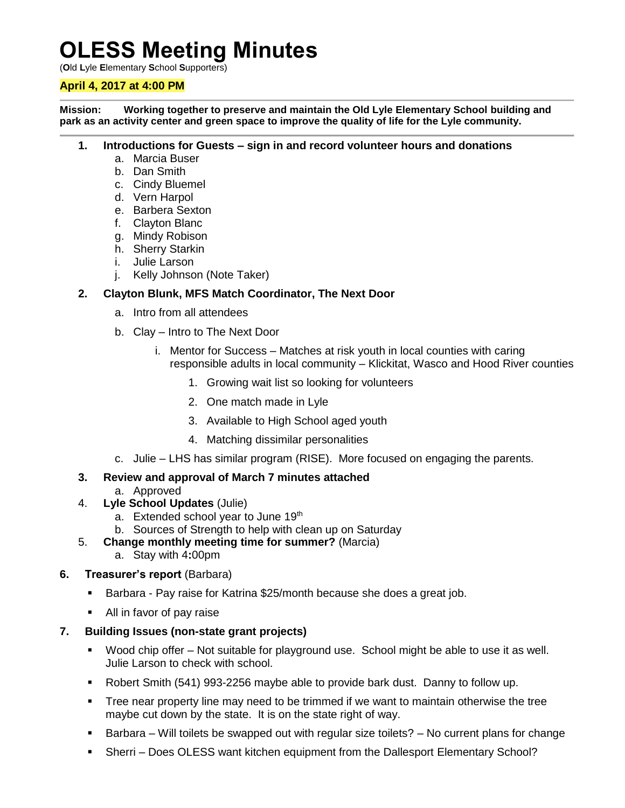# **OLESS Meeting Minutes**

(**O**ld **L**yle **E**lementary **S**chool **S**upporters)

#### **April 4, 2017 at 4:00 PM**

**Mission: Working together to preserve and maintain the Old Lyle Elementary School building and park as an activity center and green space to improve the quality of life for the Lyle community.**

#### **1. Introductions for Guests – sign in and record volunteer hours and donations**

- a. Marcia Buser
- b. Dan Smith
- c. Cindy Bluemel
- d. Vern Harpol
- e. Barbera Sexton
- f. Clayton Blanc
- g. Mindy Robison
- h. Sherry Starkin
- i. Julie Larson
- j. Kelly Johnson (Note Taker)

### **2. Clayton Blunk, MFS Match Coordinator, The Next Door**

- a. Intro from all attendees
- b. Clay Intro to The Next Door
	- i. Mentor for Success Matches at risk youth in local counties with caring responsible adults in local community – Klickitat, Wasco and Hood River counties
		- 1. Growing wait list so looking for volunteers
		- 2. One match made in Lyle
		- 3. Available to High School aged youth
		- 4. Matching dissimilar personalities
- c. Julie LHS has similar program (RISE). More focused on engaging the parents.

#### **3. Review and approval of March 7 minutes attached**

- a. Approved
- 4. **Lyle School Updates** (Julie)
	- a. Extended school year to June 19th
	- b. Sources of Strength to help with clean up on Saturday
- 5. **Change monthly meeting time for summer?** (Marcia)
	- a. Stay with 4**:**00pm

#### **6. Treasurer's report** (Barbara)

- **Barbara Pay raise for Katrina \$25/month because she does a great job.**
- All in favor of pay raise

#### **7. Building Issues (non-state grant projects)**

- Wood chip offer Not suitable for playground use. School might be able to use it as well. Julie Larson to check with school.
- Robert Smith (541) 993-2256 maybe able to provide bark dust. Danny to follow up.
- **Tree near property line may need to be trimmed if we want to maintain otherwise the tree** maybe cut down by the state. It is on the state right of way.
- **Barbara Will toilets be swapped out with regular size toilets? No current plans for change**
- Sherri Does OLESS want kitchen equipment from the Dallesport Elementary School?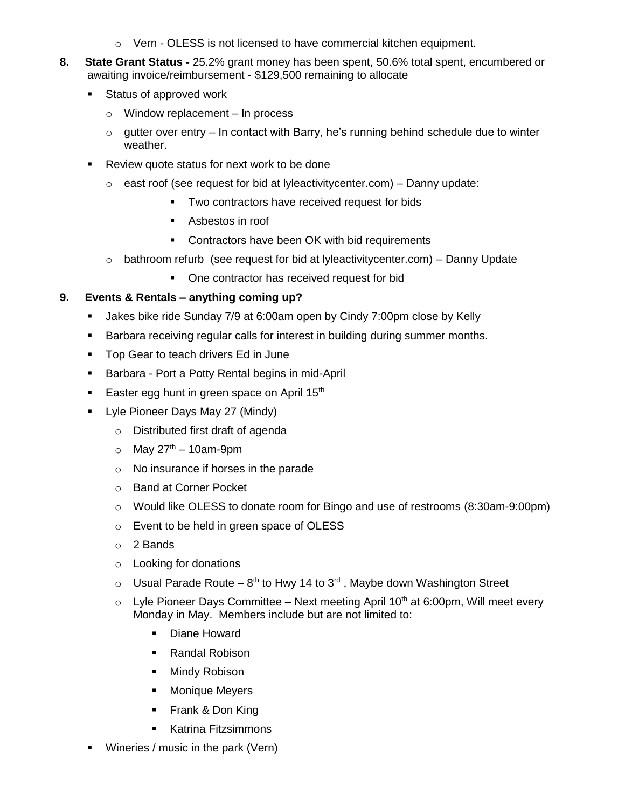- $\circ$  Vern OLESS is not licensed to have commercial kitchen equipment.
- **8. State Grant Status -** 25.2% grant money has been spent, 50.6% total spent, encumbered or awaiting invoice/reimbursement - \$129,500 remaining to allocate
	- **Status of approved work** 
		- $\circ$  Window replacement In process
		- $\circ$  qutter over entry In contact with Barry, he's running behind schedule due to winter weather.
	- Review quote status for next work to be done
		- $\circ$  east roof (see request for bid at lyleactivitycenter.com) Danny update:
			- **Two contractors have received request for bids**
			- Asbestos in roof
			- **Contractors have been OK with bid requirements**
		- $\circ$  bathroom refurb (see request for bid at lyleactivitycenter.com) Danny Update
			- One contractor has received request for bid

## **9. Events & Rentals – anything coming up?**

- Jakes bike ride Sunday 7/9 at 6:00am open by Cindy 7:00pm close by Kelly
- **Barbara receiving regular calls for interest in building during summer months.**
- Top Gear to teach drivers Ed in June
- **Barbara Port a Potty Rental begins in mid-April**
- Easter egg hunt in green space on April  $15<sup>th</sup>$
- **-** Lyle Pioneer Days May 27 (Mindy)
	- o Distributed first draft of agenda
	- $\circ$  May 27<sup>th</sup> 10am-9pm
	- o No insurance if horses in the parade
	- o Band at Corner Pocket
	- $\circ$  Would like OLESS to donate room for Bingo and use of restrooms (8:30am-9:00pm)
	- o Event to be held in green space of OLESS
	- o 2 Bands
	- o Looking for donations
	- $\circ$  Usual Parade Route 8<sup>th</sup> to Hwy 14 to 3<sup>rd</sup>, Maybe down Washington Street
	- $\circ$  Lyle Pioneer Days Committee Next meeting April 10<sup>th</sup> at 6:00pm, Will meet every Monday in May. Members include but are not limited to:
		- **Diane Howard**
		- **Randal Robison**
		- **Mindy Robison**
		- **Monique Meyers**
		- **Frank & Don King**
		- **Katrina Fitzsimmons**
- Wineries / music in the park (Vern)